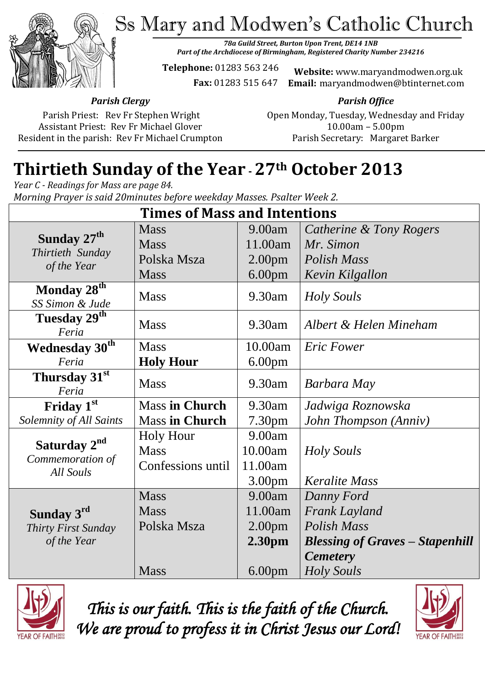Ss Mary and Modwen's Catholic Church



*78a Guild Street, Burton Upon Trent, DE14 1NB Part of the Archdiocese of Birmingham, Registered Charity Number 234216*

**Telephone:** 01283 563 246

 **Fax:** 01283 515 647

**Website:** www.maryandmodwen.org.uk **Email:** maryandmodwen@btinternet.com

*Parish Office*

*Parish Clergy*

Parish Priest: Rev Fr Stephen Wright Assistant Priest: Rev Fr Michael Glover Resident in the parish: Rev Fr Michael Crumpton Open Monday, Tuesday, Wednesday and Friday 10.00am – 5.00pm Parish Secretary:Margaret Barker

# **Thirtieth Sunday of the Year -27th October 2013**

*Year C - Readings for Mass are page 84. Morning Prayer is said 20minutes before weekday Masses. Psalter Week 2.*

| <b>Times of Mass and Intentions</b>                        |                       |                    |                                        |
|------------------------------------------------------------|-----------------------|--------------------|----------------------------------------|
|                                                            | <b>Mass</b>           | 9.00am             | Catherine & Tony Rogers                |
| Sunday 27 <sup>th</sup><br>Thirtieth Sunday<br>of the Year | <b>Mass</b>           | 11.00am            | Mr. Simon                              |
|                                                            | Polska Msza           | 2.00 <sub>pm</sub> | <b>Polish Mass</b>                     |
|                                                            | <b>Mass</b>           | 6.00 <sub>pm</sub> | Kevin Kilgallon                        |
| Monday 28 <sup>th</sup><br>SS Simon & Jude                 | <b>Mass</b>           | 9.30am             | <b>Holy Souls</b>                      |
| Tuesday 29 <sup>th</sup><br>Feria                          | <b>Mass</b>           | 9.30am             | Albert & Helen Mineham                 |
| <b>Wednesday 30th</b>                                      | <b>Mass</b>           | 10.00am            | <b>Eric Fower</b>                      |
| Feria                                                      | <b>Holy Hour</b>      | 6.00 <sub>pm</sub> |                                        |
| Thursday 31st<br>Feria                                     | <b>Mass</b>           | 9.30am             | Barbara May                            |
| Friday $1st$                                               | <b>Mass in Church</b> | 9.30am             | Jadwiga Roznowska                      |
| Solemnity of All Saints                                    | <b>Mass in Church</b> | 7.30 <sub>pm</sub> | John Thompson (Anniv)                  |
| Saturday 2 <sup>nd</sup><br>Commemoration of<br>All Souls  | <b>Holy Hour</b>      | 9.00am             |                                        |
|                                                            | <b>Mass</b>           | 10.00am            | Holy Souls                             |
|                                                            | Confessions until     | 11.00am            |                                        |
|                                                            |                       | 3.00 <sub>pm</sub> | <b>Keralite Mass</b>                   |
|                                                            | <b>Mass</b>           | 9.00am             | Danny Ford                             |
| Sunday 3rd                                                 | <b>Mass</b>           | 11.00am            | <b>Frank Layland</b>                   |
| Thirty First Sunday                                        | Polska Msza           | 2.00 <sub>pm</sub> | <b>Polish Mass</b>                     |
| of the Year                                                |                       | 2.30pm             | <b>Blessing of Graves – Stapenhill</b> |
|                                                            |                       |                    | <b>Cemetery</b>                        |
|                                                            | <b>Mass</b>           | 6.00 <sub>pm</sub> | <b>Holy Souls</b>                      |



*This is our faith. This is the faith of the Church. We are proud to profess it in Christ Jesus our Lord!* 

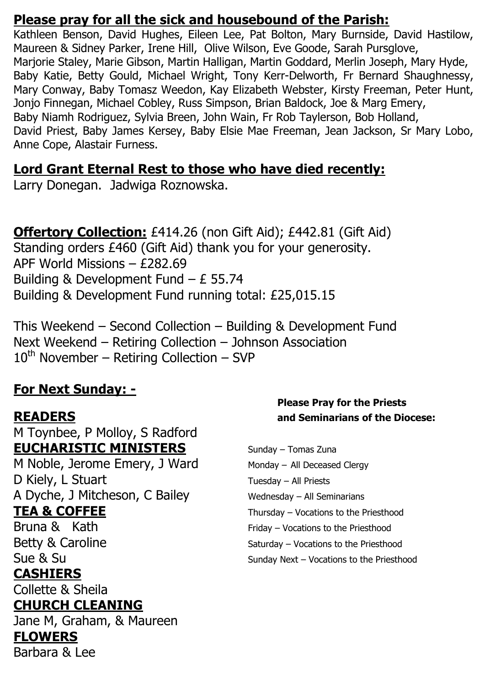#### **Please pray for all the sick and housebound of the Parish:**

Kathleen Benson, David Hughes, Eileen Lee, Pat Bolton, Mary Burnside, David Hastilow, Maureen & Sidney Parker, Irene Hill, Olive Wilson, Eve Goode, Sarah Pursglove, Marjorie Staley, Marie Gibson, Martin Halligan, Martin Goddard, Merlin Joseph, Mary Hyde, Baby Katie, Betty Gould, Michael Wright, Tony Kerr-Delworth, Fr Bernard Shaughnessy, Mary Conway, Baby Tomasz Weedon, Kay Elizabeth Webster, Kirsty Freeman, Peter Hunt, Jonjo Finnegan, Michael Cobley, Russ Simpson, Brian Baldock, Joe & Marg Emery, Baby Niamh Rodriguez, Sylvia Breen, John Wain, Fr Rob Taylerson, Bob Holland, David Priest, Baby James Kersey, Baby Elsie Mae Freeman, Jean Jackson, Sr Mary Lobo, Anne Cope, Alastair Furness.

### **Lord Grant Eternal Rest to those who have died recently:**

Larry Donegan. Jadwiga Roznowska.

**Offertory Collection:** £414.26 (non Gift Aid); £442.81 (Gift Aid) Standing orders £460 (Gift Aid) thank you for your generosity. APF World Missions – £282.69 Building & Development Fund – £ 55.74 Building & Development Fund running total: £25,015.15

This Weekend – Second Collection – Building & Development Fund Next Weekend – Retiring Collection – Johnson Association  $10^{th}$  November – Retiring Collection – SVP

# **For Next Sunday: -**

M Toynbee, P Molloy, S Radford **EUCHARISTIC MINISTERS** Sunday – Tomas Zuna

M Noble, Jerome Emery, J Ward Monday – All Deceased Clergy D Kiely, L Stuart Tuesday – All Priests A Dyche, J Mitcheson, C Bailey Wednesday – All Seminarians

### **CASHIERS**

Collette & Sheila

# **CHURCH CLEANING**

Jane M, Graham, & Maureen **FLOWERS**  Barbara & Lee

#### **Please Pray for the Priests READERS and Seminarians of the Diocese:**

**TEA & COFFEE** Thursday – Vocations to the Priesthood Bruna & Kath Friday – Vocations to the Priesthood Betty & Caroline Saturday – Vocations to the Priesthood Sue & Su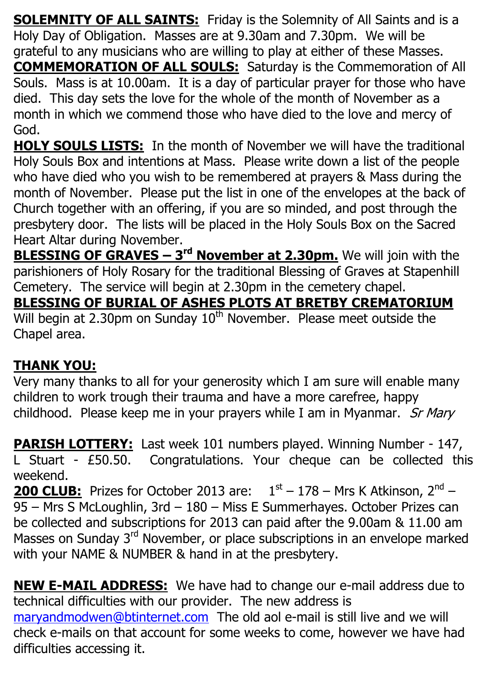**SOLEMNITY OF ALL SAINTS:** Friday is the Solemnity of All Saints and is a Holy Day of Obligation. Masses are at 9.30am and 7.30pm. We will be grateful to any musicians who are willing to play at either of these Masses. **COMMEMORATION OF ALL SOULS:** Saturday is the Commemoration of All Souls. Mass is at 10.00am. It is a day of particular prayer for those who have died. This day sets the love for the whole of the month of November as a month in which we commend those who have died to the love and mercy of God.

**HOLY SOULS LISTS:** In the month of November we will have the traditional Holy Souls Box and intentions at Mass. Please write down a list of the people who have died who you wish to be remembered at prayers & Mass during the month of November. Please put the list in one of the envelopes at the back of Church together with an offering, if you are so minded, and post through the presbytery door. The lists will be placed in the Holy Souls Box on the Sacred Heart Altar during November.

**BLESSING OF GRAVES – 3 rd November at 2.30pm.** We will join with the parishioners of Holy Rosary for the traditional Blessing of Graves at Stapenhill Cemetery. The service will begin at 2.30pm in the cemetery chapel.

**BLESSING OF BURIAL OF ASHES PLOTS AT BRETBY CREMATORIUM**

Will begin at 2.30pm on Sunday 10<sup>th</sup> November. Please meet outside the Chapel area.

# **THANK YOU:**

Very many thanks to all for your generosity which I am sure will enable many children to work trough their trauma and have a more carefree, happy childhood. Please keep me in your prayers while I am in Myanmar. Sr Mary

**PARISH LOTTERY:** Last week 101 numbers played. Winning Number - 147, L Stuart - £50.50. Congratulations. Your cheque can be collected this weekend.

**200 CLUB:** Prizes for October 2013 are:  $1<sup>st</sup> - 178$  – Mrs K Atkinson, 2<sup>nd</sup> – 95 – Mrs S McLoughlin, 3rd – 180 – Miss E Summerhayes. October Prizes can be collected and subscriptions for 2013 can paid after the 9.00am & 11.00 am Masses on Sunday 3<sup>rd</sup> November, or place subscriptions in an envelope marked with your NAME & NUMBER & hand in at the presbytery.

**NEW E-MAIL ADDRESS:** We have had to change our e-mail address due to technical difficulties with our provider. The new address is [maryandmodwen@btinternet.com](mailto:maryandmodwen@btinternet.com) The old aol e-mail is still live and we will check e-mails on that account for some weeks to come, however we have had difficulties accessing it.